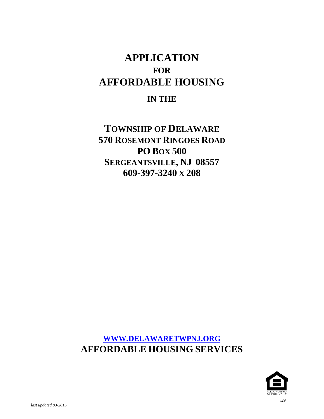# **APPLICATION FOR AFFORDABLE HOUSING**

# **IN THE**

**TOWNSHIP OF DELAWARE 570 ROSEMONT RINGOES ROAD PO BOX 500 SERGEANTSVILLE, NJ 08557 609-397-3240 X 208**

**[WWW.DELAWARETWPNJ.ORG](http://www.delawaretwpnj.org/) AFFORDABLE HOUSING SERVICES**

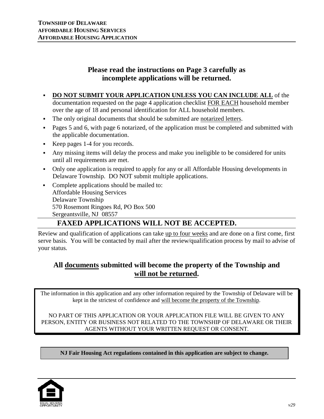# **Please read the instructions on Page 3 carefully as incomplete applications will be returned.**

- **DO NOT SUBMIT YOUR APPLICATION UNLESS YOU CAN INCLUDE ALL** of the documentation requested on the page 4 application checklist FOR EACH household member over the age of 18 and personal identification for ALL household members.
- The only original documents that should be submitted are notarized letters.
- Pages 5 and 6, with page 6 notarized, of the application must be completed and submitted with the applicable documentation.
- Keep pages 1-4 for you records.
- Any missing items will delay the process and make you ineligible to be considered for units until all requirements are met.
- Only one application is required to apply for any or all Affordable Housing developments in Delaware Township. DO NOT submit multiple applications.
- Complete applications should be mailed to: Affordable Housing Services Delaware Township 570 Rosemont Ringoes Rd, PO Box 500 Sergeantsville, NJ 08557

# **FAXED APPLICATIONS WILL NOT BE ACCEPTED.**

Review and qualification of applications can take up to four weeks and are done on a first come, first serve basis. You will be contacted by mail after the review/qualification process by mail to advise of your status.

# **All documents submitted will become the property of the Township and will not be returned.**

The information in this application and any other information required by the Township of Delaware will be kept in the strictest of confidence and will become the property of the Township.

NO PART OF THIS APPLICATION OR YOUR APPLICATION FILE WILL BE GIVEN TO ANY PERSON, ENTITY OR BUSINESS NOT RELATED TO THE TOWNSHIP OF DELAWARE OR THEIR AGENTS WITHOUT YOUR WRITTEN REQUEST OR CONSENT.

**NJ Fair Housing Act regulations contained in this application are subject to change.**

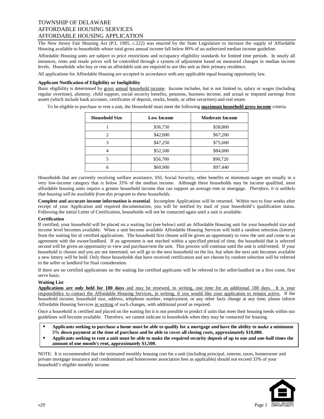The New Jersey Fair Housing Act (P.L 1985, c.222) was enacted by the State Legislature to increase the supply of Affordable Housing available to households whose total gross annual income fall below 80% of an authorized median income guideline.

Affordable Housing units are subject to price restrictions and occupancy eligibility standards for limited time periods. In nearly all instances, rents and resale prices will be controlled through a system of adjustment based on measured changes in median income levels. Households who buy or rent an affordable unit are required to use this unit as their primary residence.

All applications for Affordable Housing are accepted in accordance with any applicable equal housing opportunity law.

#### **Applicant Notification of Eligibility or Ineligibility**

Basic eligibility is determined by gross annual household income. Income includes, but is not limited to, salary or wages (including regular overtime), alimony, child support, social security benefits, pensions, business income, and actual or imputed earnings from assets (which include bank accounts, certificates of deposit, stocks, bonds, or other securities) and real estate.

To be eligible to purchase or rent a unit, the Household must meet the following **maximum household gross income** criteria

| <b>Household Size</b> | <b>Low Income</b> | <b>Moderate Income</b> |
|-----------------------|-------------------|------------------------|
|                       | \$36,750          | \$58,800               |
| $\overline{c}$        | \$42,000          | \$67,200               |
| 3                     | \$47,250          | \$75,600               |
| 4                     | \$52,500          | \$84,000               |
| 5                     | \$56,700          | \$90,720               |
| 6                     | \$60,900          | \$97,440               |

Households that are currently receiving welfare assistance, SSI, Social Security, other benefits or minimum wages are usually in a very low-income category that *is below 35%* of the median income. Although these households may be income qualified, most affordable housing units require a greater household income that can support an average rent or mortgage. *Therefore, it is unlikely that housing will be available from this program to these households*.

**Complete and accurate income information is essential**. Incomplete Applications will be returned. Within two to four weeks after receipt of your Application and required documentation, you will be notified by mail of your household's qualification status. Following the initial Letter of Certification, households will not be contacted again until a unit is available.

#### **Certification**

If certified, your household will be placed on a waiting list (see below) until an Affordable Housing unit for your household size and income level becomes available. When a unit become available Affordable Housing Services will hold a random selection (lottery) from the waiting list of certified applications. The household first chosen will be given an opportunity to view the unit and come to an agreement with the owner/landlord. If an agreement is not reached within a specified period of time, the household that is selected second will be given an opportunity to view and purchase/rent the unit. This process will continue until the unit is sold/rented. If your household is chosen and you are not interested, we will go to the next household on the list, but when the next unit becomes available a new lottery will be held. Only those households that have received certification and are chosen by random selection will be referred to the seller or landlord for final consideration.

If there are no certified applications on the waiting list certified applicants will be referred to the seller/landlord on a first come, first serve basis.

#### **Waiting List**

**Applications are only held for 180 days** and may be renewed, in writing, one time for an additional 180 days. It is your responsibility to contact the Affordable Housing Services, in writing, if you would like your application to remain active. If the household income, household size, address, telephone number, employment, or any other facts change at any time, please inform Affordable Housing Services in writing of such changes, with additional proof as required.

Once a household is certified and placed on the waiting list it is not possible to predict if units that meet their housing needs within our guidelines will become available. Therefore, we cannot indicate to households when they may be contacted for housing.

 **Applicants seeking to purchase a home must be able to qualify for a mortgage and have the ability to make a minimum 5% down payment at the time of purchase and be able to cover all closing costs, approximately \$10,000.** 

 **Applicants seeking to rent a unit must be able to make the required security deposit of up to one and one-half times the amount of one month's rent, approximately \$1,500.**

NOTE: It is recommended that the estimated monthly housing cost for a unit (including principal, interest, taxes, homeowner and private mortgage insurance and condominium and homeowner association fees as applicable) should not exceed 33% of your household's eligible monthly income.

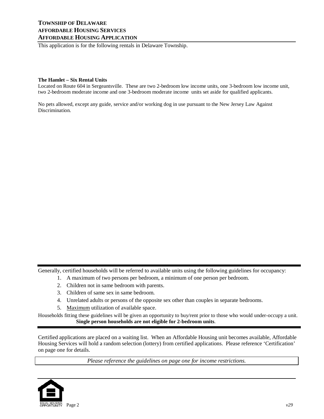This application is for the following rentals in Delaware Township.

#### **The Hamlet – Six Rental Units**

Located on Route 604 in Sergeantsville. These are two 2-bedroom low income units, one 3-bedroom low income unit, two 2-bedroom moderate income and one 3-bedroom moderate income units set aside for qualified applicants.

No pets allowed, except any guide, service and/or working dog in use pursuant to the New Jersey Law Against Discrimination.

Generally, certified households will be referred to available units using the following guidelines for occupancy:

- 1. A maximum of two persons per bedroom, a minimum of one person per bedroom.
- 2. Children not in same bedroom with parents.
- 3. Children of same sex in same bedroom.
- 4. Unrelated adults or persons of the opposite sex other than couples in separate bedrooms.
- 5. Maximum utilization of available space.

Households fitting these guidelines will be given an opportunity to buy/rent prior to those who would under-occupy a unit. **Single person households are not eligible for 2-bedroom units**.

Certified applications are placed on a waiting list. When an Affordable Housing unit becomes available, Affordable Housing Services will hold a random selection (lottery) from certified applications. Please reference 'Certification' on page one for details.

*Please reference the guidelines on page one for income restrictions.*

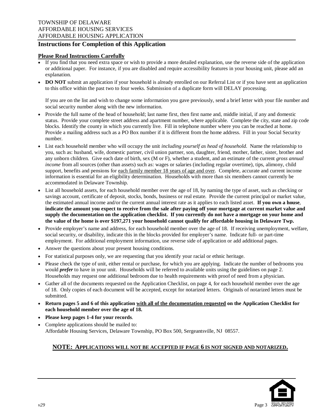# **Instructions for Completion of this Application**

### **Please Read Instructions Carefully**

- If you find that you need extra space or wish to provide a more detailed explanation, use the reverse side of the application or additional paper. For instance, if you are disabled and require accessibility features in your housing unit, please add an explanation.
- **DO NOT** submit an application if your household is already enrolled on our Referral List or if you have sent an application to this office within the past two to four weeks. Submission of a duplicate form will DELAY processing.

If you are on the list and wish to change some information you gave previously, send a brief letter with your file number and social security number along with the new information.

- Provide the full name of the head of household; last name first, then first name and, middle initial, if any and domestic status. Provide your complete street address and apartment number, where applicable. Complete the city, state and zip code blocks. Identify the county in which you currently live. Fill in telephone number where you can be reached at home. Provide a mailing address such as a PO Box number if it is different from the home address. Fill in your Social Security number.
- List each household member who will occupy the unit *including yourself as head of household*. Name the relationship to you, such as: husband, wife, domestic partner, civil union partner, son, daughter, friend, mother, father, sister, brother and any unborn children. Give each date of birth, sex (M or F), whether a student, and an estimate of the current *gross annual income* from all sources (other than assets) such as: wages or salaries (including regular overtime), tips, alimony, child support, benefits and pensions for each family member 18 years of age and over. Complete, accurate and current income information is essential for an eligibility determination. Households with more than six members cannot currently be accommodated in Delaware Township.
- List all household assets, for each household member over the age of 18, by naming the type of asset, such as checking or savings account, certificate of deposit, stocks, bonds, business or real estate. Provide the current principal or market value, the estimated annual income and/or the current annual interest rate as it applies to each listed asset. **If you own a house**, **indicate the amount you expect to receive from the sale after paying off your mortgage at current market value and supply the documentation on the application checklist. If you currently do not have a mortgage on your home and the value of the home is over \$197,271 your household cannot qualify for affordable housing in Delaware Twp.**
- Provide employer's name and address, for each household member over the age of 18. If receiving unemployment, welfare, social security, or disability, indicate this in the blocks provided for employer's name. Indicate full- or part-time employment. For additional employment information, use reverse side of application or add additional pages.
- Answer the questions about your present housing conditions.
- For statistical purposes only, we are requesting that you identify your racial or ethnic heritage.
- Please check the type of unit, either rental or purchase, for which you are applying. Indicate the number of bedrooms you would *prefer* to have in your unit. Households will be referred to available units using the guidelines on page 2. Households may request one additional bedroom due to health requirements with proof of need from a physician.
- Gather all of the documents requested on the Application Checklist, on page 4, for each household member over the age of 18. Only copies of each document will be accepted, except for notarized letters. Originals of notarized letters must be submitted.
- **Return pages 5 and 6 of this application with all of the documentation requested on the Application Checklist for each household member over the age of 18.**
- **Please keep pages 1-4 for your records**.
- Complete applications should be mailed to: Affordable Housing Services, Delaware Township, PO Box 500, Sergeantsville, NJ 08557.

## **NOTE: APPLICATIONS WILL NOT BE ACCEPTED IF PAGE 6 IS NOT SIGNED AND NOTARIZED.**

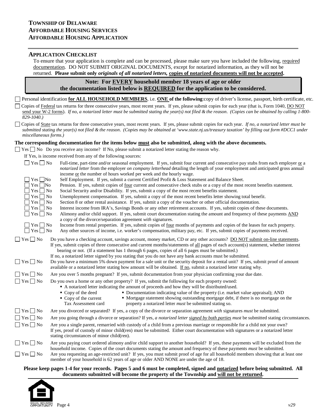#### **APPLICATION CHECKLIST**

To ensure that your application is complete and can be processed, please make sure you have included the following, required documentation. DO NOT SUBMIT ORIGINAL DOCUMENTS, except for notarized information, as they will not be returned. **Please submit only** *originals of all notarized letters,* **copies of notarized documents will not be accepted.** 

**Note: For EVERY household member 18 years of age or older the documentation listed below is REQUIRED for the application to be considered.**

Personal identification **for ALL HOUSEHOLD MEMBERS**, i.e. **ONE of the following**:copy of driver's license, passport, birth certificate, etc.

Copies of Federal tax returns for three consecutive years, most recent years. If yes, please submit copies for each year (that is, Form 1040, DO NOT send your W-2 forms). *If no, a notarized letter must be submitted stating the year(s) not filed & the reason*. *(Copies can be obtained by calling 1-800- 829-1040.)* 

Copies of State tax returns for three consecutive years, most recent years. If yes, please submit copies for each year. *If no, a notarized letter must be submitted stating the year(s) not filed & the reason*. *(Copies may be obtained at 'www.state.nj.us/treasury taxation' by filling out form #DCC1 under miscellaneous forms.)*

#### **The corresponding documentation for the items below must also be submitted, along with the above documents.**

 $\Box$  Yes  $\Box$  No Do you receive any income? If No, please submit a notarized letter stating the reason why.

If Yes, is income received from any of the following sources:

| $Yes \tNo$               | Full-time, part-time and/or seasonal employment. If yes, submit four current and consecutive pay stubs from each employer or a                                                                                                |
|--------------------------|-------------------------------------------------------------------------------------------------------------------------------------------------------------------------------------------------------------------------------|
|                          | notarized letter from the employer on company letterhead detailing the length of your employment and anticipated gross annual<br>income or the number of hours worked per week and the hourly wage.                           |
| $Yes \tNo$               |                                                                                                                                                                                                                               |
| $Yes \Box No$            | Self Employment. If yes, submit a current Certified Profit & Loss Statement and Balance Sheet.<br>Pension. If yes, submit copies of four current and consecutive check stubs or a copy of the most recent benefits statement. |
| $Yes \mid No$            | Social Security and/or Disability. If yes, submit a copy of the most recent benefits statement.                                                                                                                               |
| $Yes \nightharpoonup No$ | Unemployment compensation. If yes, submit a copy of the most recent benefits letter showing total benefit.                                                                                                                    |
| $Yes \mid No$            | Section 8 or other rental assistance. If yes, submit a copy of the voucher or other official documentation.                                                                                                                   |
| $Yes \mid No$            | Interest income from IRA's, Savings Bonds or any other retirement accounts. If yes, submit copies of these documents.                                                                                                         |
| $Yes \tN$                | Alimony and/or child support. If yes, submit court documentation stating the amount and frequency of these payments AND                                                                                                       |
|                          | a copy of the divorce/separation agreement with signatures.                                                                                                                                                                   |
| $\exists$ Yes $\Box$ No  | Income from rental properties. If yes, submit copies of <u>four</u> months of payments and copies of the leases for each property.                                                                                            |
| $\Box$ Yes $\Box$ No     | Any other sources of income, i.e. worker's compensation, military pay, etc. If yes, submit copies of payments received.                                                                                                       |
| $Yes \Box No$            | Do you have a checking account, savings account, money market, CD or any other accounts? DO NOT submit on-line statements.                                                                                                    |
|                          | If yes, submit copies of three consecutive and current months/statements of all pages of each account(s) statement, whether interest                                                                                          |
|                          | bearing or not. (If a statement has 1 through 6 pages, copies of all 6 pages must be submitted.)                                                                                                                              |
|                          | If no, a notarized letter signed by you stating that you do not have any bank accounts must be submitted.                                                                                                                     |
| $Yes \Box No$            | Do you have a minimum 5% down payment for a sale unit or the security deposit for a rental unit? If yes, submit proof of amount                                                                                               |
|                          | available or a notarized letter stating how amount will be obtained. If no, submit a notarized letter stating why.                                                                                                            |
| $Yes \Box No$            | Are you over 5 months pregnant? If yes, submit documentation from your physician confirming your due date.                                                                                                                    |
| $Yes \nightharpoonup No$ | Do you own a home or any other property? If yes, submit the following for each property owned:                                                                                                                                |
|                          | A notarized letter indicating the amount of proceeds and how they will be distributed/used.                                                                                                                                   |
|                          | ■ Copy of the deed<br>• Documentation indicating value of the property (i.e. market value appraisal); AND                                                                                                                     |
|                          | • Mortgage statement showing outstanding mortgage debt, if there is no mortgage on the<br>$\bullet$ Copy of the current                                                                                                       |
|                          | property a notarized letter <i>must</i> be submitted stating so.<br>Tax Assessment card                                                                                                                                       |
| $Yes \Box No$            | Are you divorced or separated? If yes, a copy of the divorce or separation agreement with signatures must be submitted.                                                                                                       |
| $Yes \nightharpoonup No$ | Are you going through a divorce or separation? If yes, a notarized letter signed by both parties must be submitted stating circumstances.                                                                                     |
| $Yes \Box No$            | Are you a single parent, remarried with custody of a child from a previous marriage or responsible for a child not your own?                                                                                                  |
|                          | If yes, proof of custody of minor child(ren) must be submitted. Either court documentation with signatures or a notarized letter                                                                                              |
|                          | stating circumstances of minor child(ren).                                                                                                                                                                                    |
| $Yes \Box No$            | Are you paying court ordered alimony and/or child support to another household? If yes, these payments will be excluded from the                                                                                              |
|                          | household income. Copies of the court documents stating the amount and frequency of these payments <i>must</i> be submitted.                                                                                                  |
| $Yes \Box No$            | Are you requesting an age-restricted unit? If yes, you must submit proof of age for all household members showing that at least one                                                                                           |
|                          | member of your household is 62 years of age or older AND NONE are under the age of 18.                                                                                                                                        |
|                          | Please keep pages 1-4 for your records. Pages 5 and 6 must be completed, signed and notarized before being submitted. All                                                                                                     |
|                          | documents submitted will become the property of the Township and will not be returned.                                                                                                                                        |
|                          |                                                                                                                                                                                                                               |

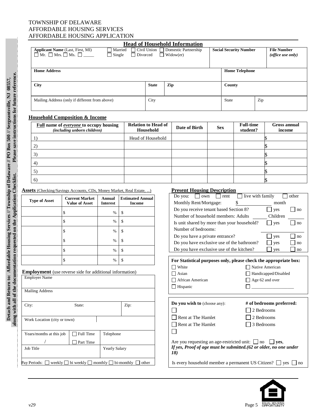|                                                                      |                                                                                                                                                                                     |           |      |                                                          | <b>Head of Household Information</b>                                                                                                  |                                  |                                            |                       |                               |                                         |  |
|----------------------------------------------------------------------|-------------------------------------------------------------------------------------------------------------------------------------------------------------------------------------|-----------|------|----------------------------------------------------------|---------------------------------------------------------------------------------------------------------------------------------------|----------------------------------|--------------------------------------------|-----------------------|-------------------------------|-----------------------------------------|--|
|                                                                      | Civil Union Domestic Partnership<br><b>Applicant Name</b> (Last, First, MI)<br>Married<br>$\Box$ Mr. $\Box$ Mrs. $\Box$ Ms. $\Box$<br>$\Box$ Single<br>Divorced<br>$\Box$ Widow(er) |           |      |                                                          |                                                                                                                                       |                                  | <b>Social Security Number</b>              |                       |                               | <b>File Number</b><br>(office use only) |  |
| <b>Home Address</b>                                                  |                                                                                                                                                                                     |           |      |                                                          |                                                                                                                                       |                                  |                                            | <b>Home Telephone</b> |                               |                                         |  |
| City                                                                 |                                                                                                                                                                                     |           |      |                                                          | Zip                                                                                                                                   | County                           |                                            |                       |                               |                                         |  |
|                                                                      | Mailing Address (only if different from above)                                                                                                                                      |           |      | City                                                     |                                                                                                                                       |                                  | <b>State</b><br>Zip                        |                       |                               |                                         |  |
|                                                                      | <b>Household Composition &amp; Income</b>                                                                                                                                           |           |      |                                                          |                                                                                                                                       |                                  |                                            |                       |                               |                                         |  |
|                                                                      | <b>Full name of <i>everyone</i></b> to occupy housing<br>(including unborn children)                                                                                                |           |      | <b>Relation to Head of</b><br>Date of Birth<br>Household |                                                                                                                                       |                                  | <b>Full-time</b><br><b>Sex</b><br>student? |                       | <b>Gross annual</b><br>income |                                         |  |
| 1)                                                                   |                                                                                                                                                                                     |           |      | Head of Household                                        |                                                                                                                                       |                                  |                                            |                       |                               |                                         |  |
| 2)                                                                   |                                                                                                                                                                                     |           |      |                                                          |                                                                                                                                       |                                  |                                            |                       |                               |                                         |  |
| 3)                                                                   |                                                                                                                                                                                     |           |      |                                                          |                                                                                                                                       |                                  |                                            |                       |                               |                                         |  |
| 4)                                                                   |                                                                                                                                                                                     |           |      |                                                          |                                                                                                                                       |                                  |                                            |                       |                               |                                         |  |
| 5)                                                                   |                                                                                                                                                                                     |           |      |                                                          |                                                                                                                                       |                                  |                                            |                       |                               |                                         |  |
| 6)                                                                   |                                                                                                                                                                                     |           |      |                                                          |                                                                                                                                       |                                  |                                            |                       |                               |                                         |  |
| Assets (Checking/Savings Accounts, CDs, Money Market, Real Estate, ) |                                                                                                                                                                                     |           |      |                                                          | <b>Present Housing Description</b>                                                                                                    |                                  |                                            |                       |                               |                                         |  |
| <b>Type of Asset</b>                                                 | <b>Estimated Annual</b><br><b>Current Market</b><br>Annual<br><b>Value of Asset</b><br><b>Income</b><br><b>Interest</b>                                                             |           |      |                                                          | $\Box$ live with family<br>Do you: $\Box$ own<br>$\Box$ rent<br>Monthly Rent/Mortgage:<br>\$<br>month                                 |                                  |                                            |                       |                               | other                                   |  |
|                                                                      | \$                                                                                                                                                                                  | $\%$      | \$   | Do you receive tenant based Section 8?                   |                                                                                                                                       |                                  |                                            |                       |                               | $\Box$ yes<br>$\ln 0$                   |  |
|                                                                      | \$                                                                                                                                                                                  | %         | \$   |                                                          | Number of household members: Adults<br>Children                                                                                       |                                  |                                            |                       | $\ln$                         |                                         |  |
|                                                                      | \$                                                                                                                                                                                  | $\%$      | \$   |                                                          | Is unit shared by more than your household?<br>$\Box$ yes<br>Number of bedrooms:                                                      |                                  |                                            |                       |                               |                                         |  |
|                                                                      |                                                                                                                                                                                     |           |      |                                                          | Do you have a private entrance?<br>$\perp$ yes                                                                                        |                                  |                                            |                       | no                            |                                         |  |
|                                                                      | \$                                                                                                                                                                                  | %         | \$   |                                                          | Do you have exclusive use of the bathroom?<br>$\Box$ yes                                                                              |                                  |                                            |                       | no                            |                                         |  |
|                                                                      | \$                                                                                                                                                                                  | $\%$      | \$   |                                                          | Do you have exclusive use of the kitchen?<br>yes                                                                                      |                                  |                                            |                       | no                            |                                         |  |
|                                                                      | \$                                                                                                                                                                                  | $\%$      | \$   |                                                          | For Statistical purposes only, please check the appropriate box:                                                                      |                                  |                                            |                       |                               |                                         |  |
|                                                                      | <b>Employment</b> (use reverse side for additional information)                                                                                                                     |           |      |                                                          | $\Box$ White<br>$\Box$ Native American<br>$\Box$ Asian<br>$\Box$ Handicapped/Disabled                                                 |                                  |                                            |                       |                               |                                         |  |
| <b>Employer Name</b>                                                 |                                                                                                                                                                                     |           |      | African American<br>Age 62 and over                      |                                                                                                                                       |                                  |                                            |                       |                               |                                         |  |
| <b>Mailing Address</b>                                               |                                                                                                                                                                                     |           |      |                                                          | $\Box$ Hispanic                                                                                                                       |                                  |                                            | П                     |                               |                                         |  |
| City:                                                                | State:                                                                                                                                                                              |           | Zip: |                                                          | Do you wish to (choose any):                                                                                                          |                                  |                                            |                       |                               | # of bedrooms preferred:                |  |
|                                                                      |                                                                                                                                                                                     |           |      |                                                          | Rent at The Hamlet                                                                                                                    |                                  |                                            |                       | 2 Bedrooms<br>2 Bedrooms      |                                         |  |
|                                                                      | Work Location (city or town)                                                                                                                                                        |           |      |                                                          |                                                                                                                                       | Rent at The Hamlet<br>3 Bedrooms |                                            |                       |                               |                                         |  |
| Years/months at this job                                             | $\Box$ Full Time                                                                                                                                                                    | Telephone |      |                                                          |                                                                                                                                       |                                  |                                            |                       |                               |                                         |  |
| Job Title                                                            | Part Time<br>Yearly Salary                                                                                                                                                          |           |      |                                                          | Are you requesting an age-restricted unit: $\Box$ no $\Box$ yes,<br>If yes, Proof of age must be submitted.(62 or older, no one under |                                  |                                            |                       |                               |                                         |  |
|                                                                      | Pay Periods: $\Box$ weekly $\Box$ bi weekly $\Box$ monthly $\Box$ bi-monthly $\Box$ other                                                                                           |           |      |                                                          | 18)<br>Is every household member a permanent US Citizen? $\Box$ yes $\Box$ no                                                         |                                  |                                            |                       |                               |                                         |  |



along with all of the documentation requested on the Application Checklist. Please save instructions for future reference. **along with all of the documentation requested on the Application Checklist. Please save instructions for future reference.**Detach and Return to: Affordable Housing Services // Township of Delaware // PO Box 500 // Sergeantsville, NJ 08557, **Detach and Return to: Affordable Housing Services // Township of Delaware // PO Box 500 // Sergeantsville, NJ 08557,**